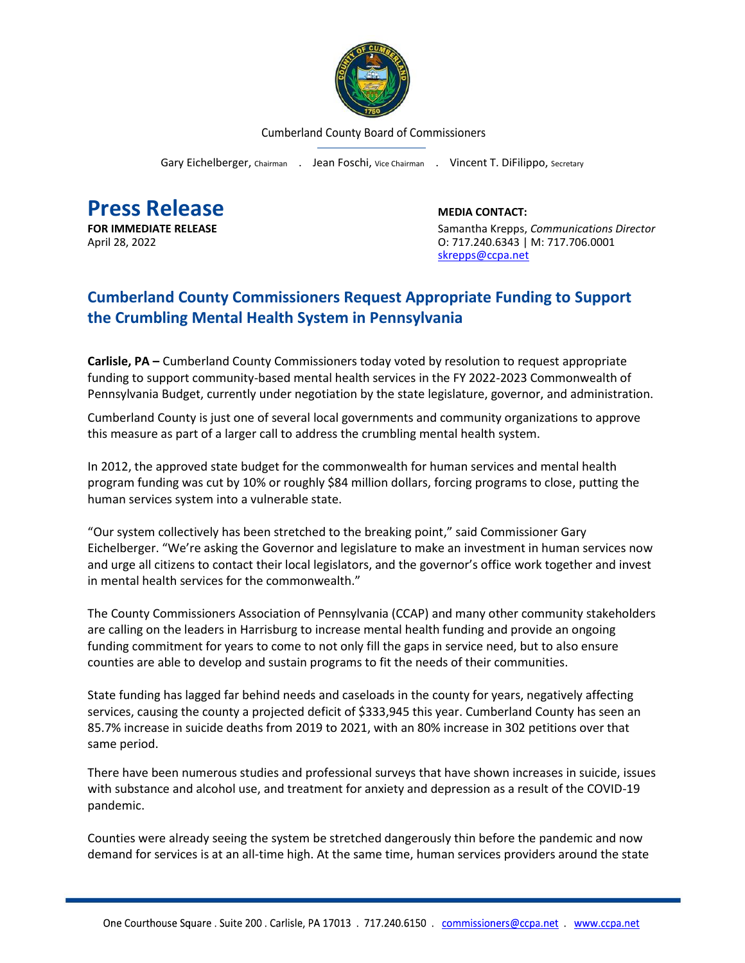

Cumberland County Board of Commissioners

Gary Eichelberger, Chairman . Jean Foschi, Vice Chairman . Vincent T. DiFilippo, Secretary

**Press Release**<br> **Press Release**<br> **EDIA CONTACT:**<br>
Samantha Krepps.

**FOR IMMEDIATE RELEASE** Samantha Krepps, *Communications Director* April 28, 2022 **CONFIDENTIAL CONSUMING CONTRACT CONTRACT ON CONTRACT ON CONTRACT OF A CONTRACT OF CONTRACT OF A CONTRACT OF A CONTRACT OF A CONTRACT OF A CONTRACT OF A CONTRACT OF A CONTRACT OF A CONTRACT OF A CONTRACT OF** [skrepps@ccpa.net](mailto:skrepps@ccpa.net)

## **Cumberland County Commissioners Request Appropriate Funding to Support the Crumbling Mental Health System in Pennsylvania**

**Carlisle, PA –** Cumberland County Commissioners today voted by resolution to request appropriate funding to support community-based mental health services in the FY 2022-2023 Commonwealth of Pennsylvania Budget, currently under negotiation by the state legislature, governor, and administration.

Cumberland County is just one of several local governments and community organizations to approve this measure as part of a larger call to address the crumbling mental health system.

In 2012, the approved state budget for the commonwealth for human services and mental health program funding was cut by 10% or roughly \$84 million dollars, forcing programs to close, putting the human services system into a vulnerable state.

"Our system collectively has been stretched to the breaking point," said Commissioner Gary Eichelberger. "We're asking the Governor and legislature to make an investment in human services now and urge all citizens to contact their local legislators, and the governor's office work together and invest in mental health services for the commonwealth."

The County Commissioners Association of Pennsylvania (CCAP) and many other community stakeholders are calling on the leaders in Harrisburg to increase mental health funding and provide an ongoing funding commitment for years to come to not only fill the gaps in service need, but to also ensure counties are able to develop and sustain programs to fit the needs of their communities.

State funding has lagged far behind needs and caseloads in the county for years, negatively affecting services, causing the county a projected deficit of \$333,945 this year. Cumberland County has seen an 85.7% increase in suicide deaths from 2019 to 2021, with an 80% increase in 302 petitions over that same period.

There have been numerous studies and professional surveys that have shown increases in suicide, issues with substance and alcohol use, and treatment for anxiety and depression as a result of the COVID-19 pandemic.

Counties were already seeing the system be stretched dangerously thin before the pandemic and now demand for services is at an all-time high. At the same time, human services providers around the state